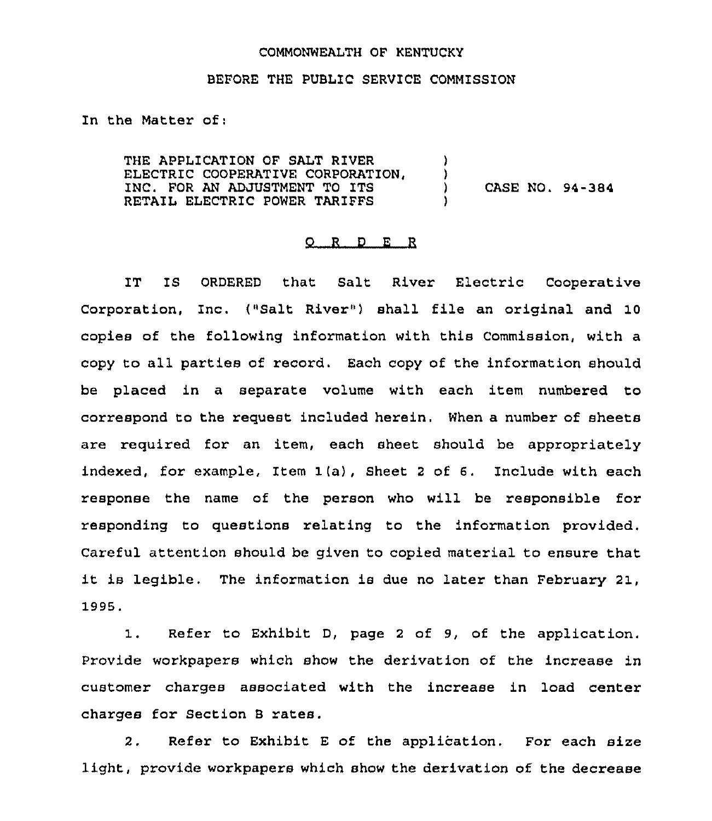## COMMONWEALTH OF KENTUCkY

## BEFORE THE PUBLIC SERVICE COMMISSION

In the Matter of:

THE APPLICAT1ON OF SALT RIVER ELECTRIC COOPERATIVE CORPORATION, INC. FOR AN ADJUSTMENT TO ITS RETAIL ELECTRIC POWER TARIFFS ) ) ) CASE NO, 94-384 )

## O R D E R

IT IS ORDERED that Salt River Electric Cooperative Corporation, Inc. ("Salt River") shall file an original and 10 copies of the following information with this Commission, with a copy to all parties of record. Each copy of the information should be placed in a separate volume with each item numbered to correspond to the request included herein. When a number of sheets are required for an item, each sheet should be appropriately indexed, for example, Item 1(a), Sheet <sup>2</sup> of 6. Include with each response the name of the person who will be responsible for responding to questions relating to the information provided. Careful attention should be given to copied material to ensure that it is legible. The information is due no later than February 21, 1995.

1. Refer to Exhibit D, page <sup>2</sup> of 9, of the application. Provide workpapers which show the derivation of the increase in customer charges associated with the increase in load center charges for Section <sup>B</sup> rates.

2. Refer to Exhibit <sup>E</sup> of the application. For each size light, provide workpapers which show the derivation of the decrease